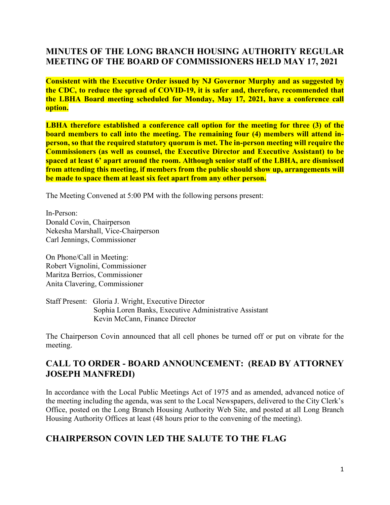# **MINUTES OF THE LONG BRANCH HOUSING AUTHORITY REGULAR MEETING OF THE BOARD OF COMMISSIONERS HELD MAY 17, 2021**

**Consistent with the Executive Order issued by NJ Governor Murphy and as suggested by the CDC, to reduce the spread of COVID-19, it is safer and, therefore, recommended that the LBHA Board meeting scheduled for Monday, May 17, 2021, have a conference call option.**

**LBHA therefore established a conference call option for the meeting for three (3) of the board members to call into the meeting. The remaining four (4) members will attend inperson, so that the required statutory quorum is met. The in-person meeting will require the Commissioners (as well as counsel, the Executive Director and Executive Assistant) to be spaced at least 6' apart around the room. Although senior staff of the LBHA, are dismissed from attending this meeting, if members from the public should show up, arrangements will be made to space them at least six feet apart from any other person.**

The Meeting Convened at 5:00 PM with the following persons present:

In-Person: Donald Covin, Chairperson Nekesha Marshall, Vice-Chairperson Carl Jennings, Commissioner

On Phone/Call in Meeting: Robert Vignolini, Commissioner Maritza Berrios, Commissioner Anita Clavering, Commissioner

Staff Present: Gloria J. Wright, Executive Director Sophia Loren Banks, Executive Administrative Assistant Kevin McCann, Finance Director

The Chairperson Covin announced that all cell phones be turned off or put on vibrate for the meeting.

## **CALL TO ORDER - BOARD ANNOUNCEMENT: (READ BY ATTORNEY JOSEPH MANFREDI)**

In accordance with the Local Public Meetings Act of 1975 and as amended, advanced notice of the meeting including the agenda, was sent to the Local Newspapers, delivered to the City Clerk's Office, posted on the Long Branch Housing Authority Web Site, and posted at all Long Branch Housing Authority Offices at least (48 hours prior to the convening of the meeting).

## **CHAIRPERSON COVIN LED THE SALUTE TO THE FLAG**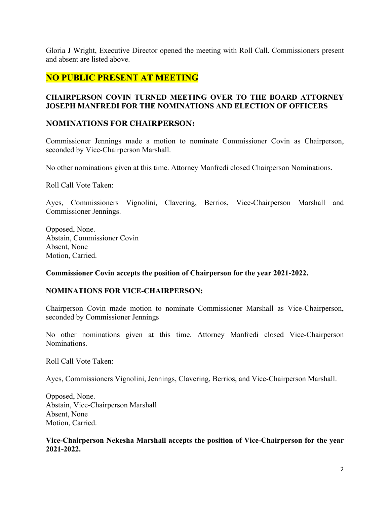Gloria J Wright, Executive Director opened the meeting with Roll Call. Commissioners present and absent are listed above.

### **NO PUBLIC PRESENT AT MEETING**

### **CHAIRPERSON COVIN TURNED MEETING OVER TO THE BOARD ATTORNEY JOSEPH MANFREDI FOR THE NOMINATIONS AND ELECTION OF OFFICERS**

#### **NOMINATIONS FOR CHAIRPERSON:**

Commissioner Jennings made a motion to nominate Commissioner Covin as Chairperson, seconded by Vice-Chairperson Marshall.

No other nominations given at this time. Attorney Manfredi closed Chairperson Nominations.

Roll Call Vote Taken:

Ayes, Commissioners Vignolini, Clavering, Berrios, Vice-Chairperson Marshall and Commissioner Jennings.

Opposed, None. Abstain, Commissioner Covin Absent, None Motion, Carried.

#### **Commissioner Covin accepts the position of Chairperson for the year 2021-2022.**

#### **NOMINATIONS FOR VICE-CHAIRPERSON:**

Chairperson Covin made motion to nominate Commissioner Marshall as Vice-Chairperson, seconded by Commissioner Jennings

No other nominations given at this time. Attorney Manfredi closed Vice-Chairperson Nominations.

Roll Call Vote Taken:

Ayes, Commissioners Vignolini, Jennings, Clavering, Berrios, and Vice-Chairperson Marshall.

Opposed, None. Abstain, Vice-Chairperson Marshall Absent, None Motion, Carried.

### **Vice-Chairperson Nekesha Marshall accepts the position of Vice-Chairperson for the year 2021-2022.**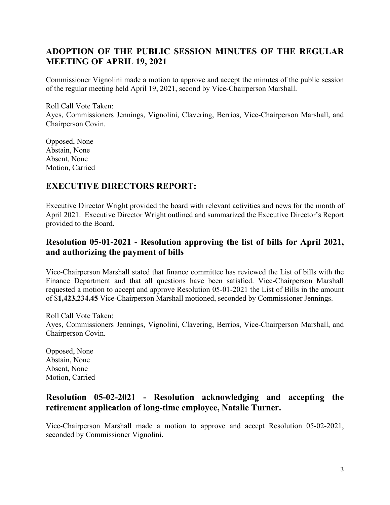# **ADOPTION OF THE PUBLIC SESSION MINUTES OF THE REGULAR MEETING OF APRIL 19, 2021**

Commissioner Vignolini made a motion to approve and accept the minutes of the public session of the regular meeting held April 19, 2021, second by Vice-Chairperson Marshall.

Roll Call Vote Taken: Ayes, Commissioners Jennings, Vignolini, Clavering, Berrios, Vice-Chairperson Marshall, and Chairperson Covin.

Opposed, None Abstain, None Absent, None Motion, Carried

### **EXECUTIVE DIRECTORS REPORT:**

Executive Director Wright provided the board with relevant activities and news for the month of April 2021. Executive Director Wright outlined and summarized the Executive Director's Report provided to the Board.

## **Resolution 05-01-2021 - Resolution approving the list of bills for April 2021, and authorizing the payment of bills**

Vice-Chairperson Marshall stated that finance committee has reviewed the List of bills with the Finance Department and that all questions have been satisfied. Vice-Chairperson Marshall requested a motion to accept and approve Resolution 05-01-2021 the List of Bills in the amount of \$**1,423,234.45** Vice-Chairperson Marshall motioned, seconded by Commissioner Jennings.

Roll Call Vote Taken: Ayes, Commissioners Jennings, Vignolini, Clavering, Berrios, Vice-Chairperson Marshall, and Chairperson Covin.

Opposed, None Abstain, None Absent, None Motion, Carried

## **Resolution 05-02-2021 - Resolution acknowledging and accepting the retirement application of long-time employee, Natalie Turner.**

Vice-Chairperson Marshall made a motion to approve and accept Resolution 05-02-2021, seconded by Commissioner Vignolini.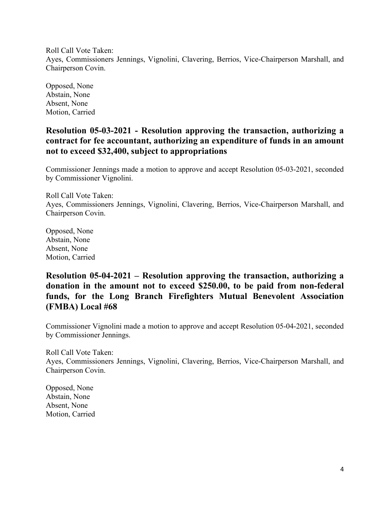Roll Call Vote Taken: Ayes, Commissioners Jennings, Vignolini, Clavering, Berrios, Vice-Chairperson Marshall, and Chairperson Covin.

Opposed, None Abstain, None Absent, None Motion, Carried

## **Resolution 05-03-2021 - Resolution approving the transaction, authorizing a contract for fee accountant, authorizing an expenditure of funds in an amount not to exceed \$32,400, subject to appropriations**

Commissioner Jennings made a motion to approve and accept Resolution 05-03-2021, seconded by Commissioner Vignolini.

Roll Call Vote Taken: Ayes, Commissioners Jennings, Vignolini, Clavering, Berrios, Vice-Chairperson Marshall, and Chairperson Covin.

Opposed, None Abstain, None Absent, None Motion, Carried

## **Resolution 05-04-2021 – Resolution approving the transaction, authorizing a donation in the amount not to exceed \$250.00, to be paid from non-federal funds, for the Long Branch Firefighters Mutual Benevolent Association (FMBA) Local #68**

Commissioner Vignolini made a motion to approve and accept Resolution 05-04-2021, seconded by Commissioner Jennings.

Roll Call Vote Taken: Ayes, Commissioners Jennings, Vignolini, Clavering, Berrios, Vice-Chairperson Marshall, and Chairperson Covin.

Opposed, None Abstain, None Absent, None Motion, Carried